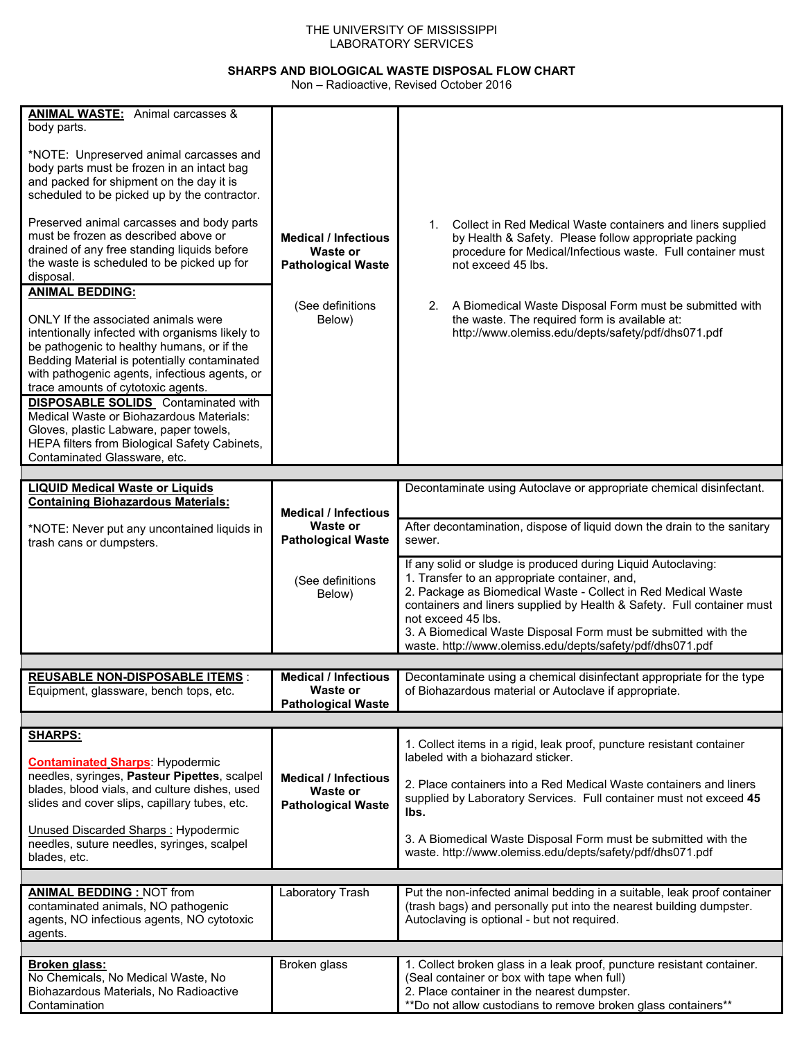## THE UNIVERSITY OF MISSISSIPPI LABORATORY SERVICES

## **SHARPS AND BIOLOGICAL WASTE DISPOSAL FLOW CHART**

Non – Radioactive, Revised October 2016

| <b>ANIMAL WASTE:</b> Animal carcasses &<br>body parts.<br>*NOTE: Unpreserved animal carcasses and<br>body parts must be frozen in an intact bag<br>and packed for shipment on the day it is<br>scheduled to be picked up by the contractor.<br>Preserved animal carcasses and body parts<br>must be frozen as described above or<br>drained of any free standing liquids before<br>the waste is scheduled to be picked up for<br>disposal.<br><b>ANIMAL BEDDING:</b><br>ONLY If the associated animals were<br>intentionally infected with organisms likely to<br>be pathogenic to healthy humans, or if the<br>Bedding Material is potentially contaminated<br>with pathogenic agents, infectious agents, or<br>trace amounts of cytotoxic agents.<br><b>DISPOSABLE SOLIDS</b> Contaminated with<br>Medical Waste or Biohazardous Materials:<br>Gloves, plastic Labware, paper towels,<br>HEPA filters from Biological Safety Cabinets,<br>Contaminated Glassware, etc. | <b>Medical / Infectious</b><br>Waste or<br><b>Pathological Waste</b><br>(See definitions<br>Below) | Collect in Red Medical Waste containers and liners supplied<br>1.<br>by Health & Safety. Please follow appropriate packing<br>procedure for Medical/Infectious waste. Full container must<br>not exceed 45 lbs.<br>2. A Biomedical Waste Disposal Form must be submitted with<br>the waste. The required form is available at:<br>http://www.olemiss.edu/depts/safety/pdf/dhs071.pdf                                                        |
|--------------------------------------------------------------------------------------------------------------------------------------------------------------------------------------------------------------------------------------------------------------------------------------------------------------------------------------------------------------------------------------------------------------------------------------------------------------------------------------------------------------------------------------------------------------------------------------------------------------------------------------------------------------------------------------------------------------------------------------------------------------------------------------------------------------------------------------------------------------------------------------------------------------------------------------------------------------------------|----------------------------------------------------------------------------------------------------|---------------------------------------------------------------------------------------------------------------------------------------------------------------------------------------------------------------------------------------------------------------------------------------------------------------------------------------------------------------------------------------------------------------------------------------------|
| <b>LIQUID Medical Waste or Liquids</b><br><b>Containing Biohazardous Materials:</b><br>*NOTE: Never put any uncontained liquids in<br>trash cans or dumpsters.                                                                                                                                                                                                                                                                                                                                                                                                                                                                                                                                                                                                                                                                                                                                                                                                           | <b>Medical / Infectious</b><br>Waste or<br><b>Pathological Waste</b><br>(See definitions<br>Below) | Decontaminate using Autoclave or appropriate chemical disinfectant.<br>After decontamination, dispose of liquid down the drain to the sanitary<br>sewer.<br>If any solid or sludge is produced during Liquid Autoclaving:<br>1. Transfer to an appropriate container, and,<br>2. Package as Biomedical Waste - Collect in Red Medical Waste<br>containers and liners supplied by Health & Safety. Full container must<br>not exceed 45 lbs. |
| <b>REUSABLE NON-DISPOSABLE ITEMS:</b><br>Equipment, glassware, bench tops, etc.                                                                                                                                                                                                                                                                                                                                                                                                                                                                                                                                                                                                                                                                                                                                                                                                                                                                                          | <b>Medical / Infectious</b><br>Waste or<br><b>Pathological Waste</b>                               | 3. A Biomedical Waste Disposal Form must be submitted with the<br>waste. http://www.olemiss.edu/depts/safety/pdf/dhs071.pdf<br>Decontaminate using a chemical disinfectant appropriate for the type<br>of Biohazardous material or Autoclave if appropriate.                                                                                                                                                                                |
| <b>SHARPS:</b><br><b>Contaminated Sharps: Hypodermic</b>                                                                                                                                                                                                                                                                                                                                                                                                                                                                                                                                                                                                                                                                                                                                                                                                                                                                                                                 |                                                                                                    | 1. Collect items in a rigid, leak proof, puncture resistant container<br>labeled with a biohazard sticker.                                                                                                                                                                                                                                                                                                                                  |
| needles, syringes, Pasteur Pipettes, scalpel<br>blades, blood vials, and culture dishes, used<br>slides and cover slips, capillary tubes, etc.<br>Unused Discarded Sharps: Hypodermic<br>needles, suture needles, syringes, scalpel                                                                                                                                                                                                                                                                                                                                                                                                                                                                                                                                                                                                                                                                                                                                      | <b>Medical / Infectious</b><br>Waste or<br><b>Pathological Waste</b>                               | 2. Place containers into a Red Medical Waste containers and liners<br>supplied by Laboratory Services. Full container must not exceed 45<br>lbs.<br>3. A Biomedical Waste Disposal Form must be submitted with the                                                                                                                                                                                                                          |
| blades, etc.<br><b>ANIMAL BEDDING: NOT from</b><br>contaminated animals, NO pathogenic                                                                                                                                                                                                                                                                                                                                                                                                                                                                                                                                                                                                                                                                                                                                                                                                                                                                                   | Laboratory Trash                                                                                   | waste. http://www.olemiss.edu/depts/safety/pdf/dhs071.pdf<br>Put the non-infected animal bedding in a suitable, leak proof container<br>(trash bags) and personally put into the nearest building dumpster.<br>Autoclaving is optional - but not required.                                                                                                                                                                                  |
| agents, NO infectious agents, NO cytotoxic<br>agents.<br><b>Broken glass:</b>                                                                                                                                                                                                                                                                                                                                                                                                                                                                                                                                                                                                                                                                                                                                                                                                                                                                                            | Broken glass                                                                                       | 1. Collect broken glass in a leak proof, puncture resistant container.                                                                                                                                                                                                                                                                                                                                                                      |
| No Chemicals, No Medical Waste, No<br>Biohazardous Materials, No Radioactive<br>Contamination                                                                                                                                                                                                                                                                                                                                                                                                                                                                                                                                                                                                                                                                                                                                                                                                                                                                            |                                                                                                    | (Seal container or box with tape when full)<br>2. Place container in the nearest dumpster.<br>**Do not allow custodians to remove broken glass containers**                                                                                                                                                                                                                                                                                 |